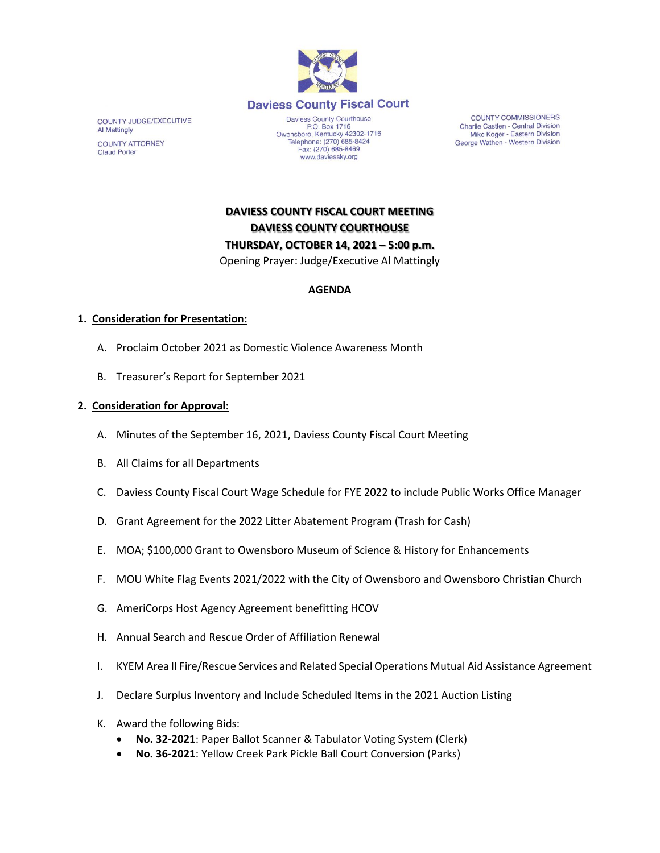

COUNTY JUDGE/EXECUTIVE Al Mattingly **COUNTY ATTORNEY Claud Porter** 

Daviess County Courthouse P.O. Box 1716<br>Owensboro, Kentucky 42302-1716<br>Telephone: (270) 685-8424 Fax: (270) 685-8469 www.daviessky.org

**COUNTY COMMISSIONERS** Charlie Castlen - Central Division Mike Koger - Eastern Division George Wathen - Western Division

**DAVIESS COUNTY FISCAL COURT MEETING DAVIESS COUNTY COURTHOUSE THURSDAY, OCTOBER 14, 2021 – 5:00 p.m.**

Opening Prayer: Judge/Executive Al Mattingly

## **AGENDA**

## **1. Consideration for Presentation:**

- A. Proclaim October 2021 as Domestic Violence Awareness Month
- B. Treasurer's Report for September 2021

## **2. Consideration for Approval:**

- A. Minutes of the September 16, 2021, Daviess County Fiscal Court Meeting
- B. All Claims for all Departments
- C. Daviess County Fiscal Court Wage Schedule for FYE 2022 to include Public Works Office Manager
- D. Grant Agreement for the 2022 Litter Abatement Program (Trash for Cash)
- E. MOA; \$100,000 Grant to Owensboro Museum of Science & History for Enhancements
- F. MOU White Flag Events 2021/2022 with the City of Owensboro and Owensboro Christian Church
- G. AmeriCorps Host Agency Agreement benefitting HCOV
- H. Annual Search and Rescue Order of Affiliation Renewal
- I. KYEM Area II Fire/Rescue Services and Related Special Operations Mutual Aid Assistance Agreement
- J. Declare Surplus Inventory and Include Scheduled Items in the 2021 Auction Listing
- K. Award the following Bids:
	- **No. 32-2021**: Paper Ballot Scanner & Tabulator Voting System (Clerk)
	- **No. 36-2021**: Yellow Creek Park Pickle Ball Court Conversion (Parks)